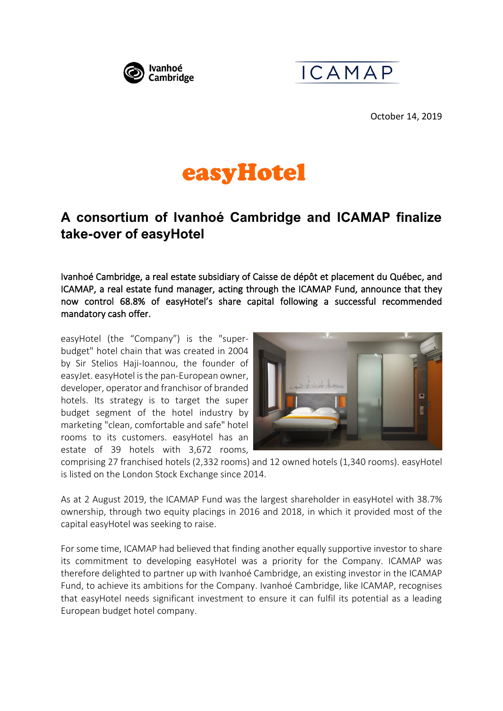



October 14, 2019

# easyHotel

# **A consortium of Ivanhoé Cambridge and ICAMAP finalize take-over of easyHotel**

Ivanhoé Cambridge, a real estate subsidiary of Caisse de dépôt et placement du Québec, and ICAMAP, a real estate fund manager, acting through the ICAMAP Fund, announce that they now control 68.8% of easyHotel's share capital following a successful recommended mandatory cash offer.

easyHotel (the "Company") is the "superbudget" hotel chain that was created in 2004 by Sir Stelios Haji-Ioannou, the founder of easyJet. easyHotel is the pan-European owner, developer, operator and franchisor of branded hotels. Its strategy is to target the super budget segment of the hotel industry by marketing "clean, comfortable and safe" hotel rooms to its customers. easyHotel has an estate of 39 hotels with 3,672 rooms,



comprising 27 franchised hotels (2,332 rooms) and 12 owned hotels (1,340 rooms). easyHotel is listed on the London Stock Exchange since 2014.

As at 2 August 2019, the ICAMAP Fund was the largest shareholder in easyHotel with 38.7% ownership, through two equity placings in 2016 and 2018, in which it provided most of the capital easyHotel was seeking to raise.

For some time, ICAMAP had believed that finding another equally supportive investor to share its commitment to developing easyHotel was a priority for the Company. ICAMAP was therefore delighted to partner up with Ivanhoé Cambridge, an existing investor in the ICAMAP Fund, to achieve its ambitions for the Company. Ivanhoé Cambridge, like ICAMAP, recognises that easyHotel needs significant investment to ensure it can fulfil its potential as a leading European budget hotel company.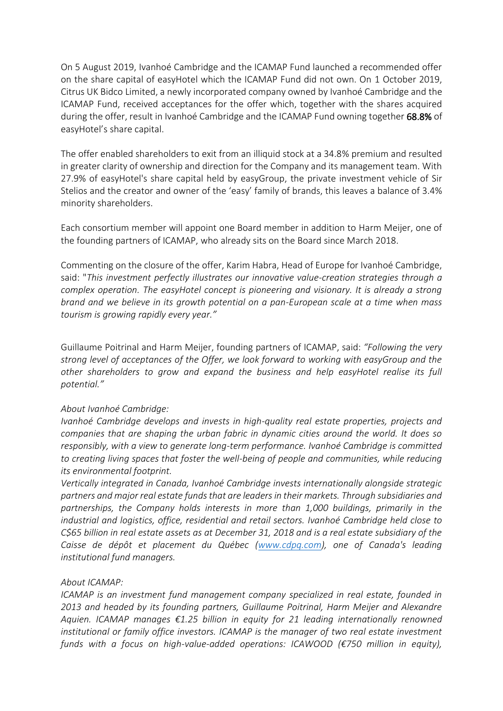On 5 August 2019, Ivanhoé Cambridge and the ICAMAP Fund launched a recommended offer on the share capital of easyHotel which the ICAMAP Fund did not own. On 1 October 2019, Citrus UK Bidco Limited, a newly incorporated company owned by Ivanhoé Cambridge and the ICAMAP Fund, received acceptances for the offer which, together with the shares acquired during the offer, result in Ivanhoé Cambridge and the ICAMAP Fund owning together 68.8% of easyHotel's share capital.

The offer enabled shareholders to exit from an illiquid stock at a 34.8% premium and resulted in greater clarity of ownership and direction for the Company and its management team. With 27.9% of easyHotel's share capital held by easyGroup, the private investment vehicle of Sir Stelios and the creator and owner of the 'easy' family of brands, this leaves a balance of 3.4% minority shareholders.

Each consortium member will appoint one Board member in addition to Harm Meijer, one of the founding partners of ICAMAP, who already sits on the Board since March 2018.

Commenting on the closure of the offer, Karim Habra, Head of Europe for Ivanhoé Cambridge, said: "*This investment perfectly illustrates our innovative value-creation strategies through a complex operation. The easyHotel concept is pioneering and visionary. It is already a strong brand and we believe in its growth potential on a pan-European scale at a time when mass tourism is growing rapidly every year."* 

Guillaume Poitrinal and Harm Meijer, founding partners of ICAMAP, said: *"Following the very strong level of acceptances of the Offer, we look forward to working with easyGroup and the other shareholders to grow and expand the business and help easyHotel realise its full potential."*

## *About Ivanhoé Cambridge:*

*Ivanhoé Cambridge develops and invests in high-quality real estate properties, projects and companies that are shaping the urban fabric in dynamic cities around the world. It does so responsibly, with a view to generate long-term performance. Ivanhoé Cambridge is committed to creating living spaces that foster the well-being of people and communities, while reducing its environmental footprint.*

*Vertically integrated in Canada, Ivanhoé Cambridge invests internationally alongside strategic partners and major real estate funds that are leaders in their markets. Through subsidiaries and partnerships, the Company holds interests in more than 1,000 buildings, primarily in the industrial and logistics, office, residential and retail sectors. Ivanhoé Cambridge held close to C\$65 billion in real estate assets as at December 31, 2018 and is a real estate subsidiary of the Caisse de dépôt et placement du Québec [\(www.cdpq.com\)](http://www.cdpq.com/), one of Canada's leading institutional fund managers.* 

### *About ICAMAP:*

*ICAMAP is an investment fund management company specialized in real estate, founded in 2013 and headed by its founding partners, Guillaume Poitrinal, Harm Meijer and Alexandre Aquien. ICAMAP manages €1.25 billion in equity for 21 leading internationally renowned institutional or family office investors. ICAMAP is the manager of two real estate investment funds with a focus on high-value-added operations: ICAWOOD (€750 million in equity),*